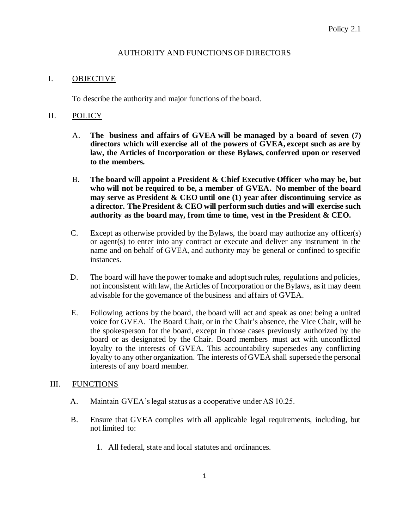# AUTHORITY AND FUNCTIONS OF DIRECTORS

### I. OBJECTIVE

To describe the authority and major functions of the board.

### II. POLICY

- A. **The business and affairs of GVEA will be managed by a board of seven (7) directors which will exercise all of the powers of GVEA, except such as are by law, the Articles of Incorporation or these Bylaws, conferred upon or reserved to the members.**
- B. **The board will appoint a President & Chief Executive Officer who may be, but who will not be required to be, a member of GVEA. No member of the board may serve as President & CEO until one (1) year after discontinuing service as a director. The President & CEO will perform such duties and will exercise such authority as the board may, from time to time, vest in the President & CEO.**
- C. Except as otherwise provided by the Bylaws, the board may authorize any officer(s) or agent(s) to enter into any contract or execute and deliver any instrument in the name and on behalf of GVEA, and authority may be general or confined to specific instances.
- D. The board will have the power to make and adopt such rules, regulations and policies, not inconsistent with law, the Articles of Incorporation or the Bylaws, as it may deem advisable for the governance of the business and affairs of GVEA.
- E. Following actions by the board, the board will act and speak as one: being a united voice for GVEA. The Board Chair, or in the Chair's absence, the Vice Chair, will be the spokesperson for the board, except in those cases previously authorized by the board or as designated by the Chair. Board members must act with unconflicted loyalty to the interests of GVEA. This accountability supersedes any conflicting loyalty to any other organization. The interests of GVEA shall supersede the personal interests of any board member.

#### III. FUNCTIONS

- A. Maintain GVEA's legal status as a cooperative under AS 10.25.
- B. Ensure that GVEA complies with all applicable legal requirements, including, but not limited to:
	- 1. All federal, state and local statutes and ordinances.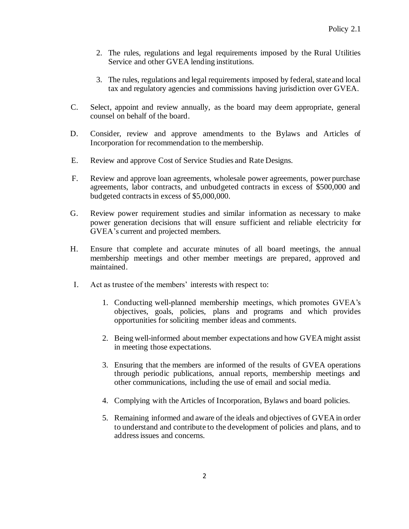- 2. The rules, regulations and legal requirements imposed by the Rural Utilities Service and other GVEA lending institutions.
- 3. The rules, regulations and legal requirements imposed by federal, state and local tax and regulatory agencies and commissions having jurisdiction over GVEA.
- C. Select, appoint and review annually, as the board may deem appropriate, general counsel on behalf of the board.
- D. Consider, review and approve amendments to the Bylaws and Articles of Incorporation for recommendation to the membership.
- E. Review and approve Cost of Service Studies and Rate Designs.
- F. Review and approve loan agreements, wholesale power agreements, power purchase agreements, labor contracts, and unbudgeted contracts in excess of \$500,000 and budgeted contracts in excess of \$5,000,000.
- G. Review power requirement studies and similar information as necessary to make power generation decisions that will ensure sufficient and reliable electricity for GVEA's current and projected members.
- H. Ensure that complete and accurate minutes of all board meetings, the annual membership meetings and other member meetings are prepared, approved and maintained.
- I. Act as trustee of the members' interests with respect to:
	- 1. Conducting well-planned membership meetings, which promotes GVEA's objectives, goals, policies, plans and programs and which provides opportunities for soliciting member ideas and comments.
	- 2. Being well-informed about member expectations and how GVEA might assist in meeting those expectations.
	- 3. Ensuring that the members are informed of the results of GVEA operations through periodic publications, annual reports, membership meetings and other communications, including the use of email and social media.
	- 4. Complying with the Articles of Incorporation, Bylaws and board policies.
	- 5. Remaining informed and aware of the ideals and objectives of GVEA in order to understand and contribute to the development of policies and plans, and to address issues and concerns.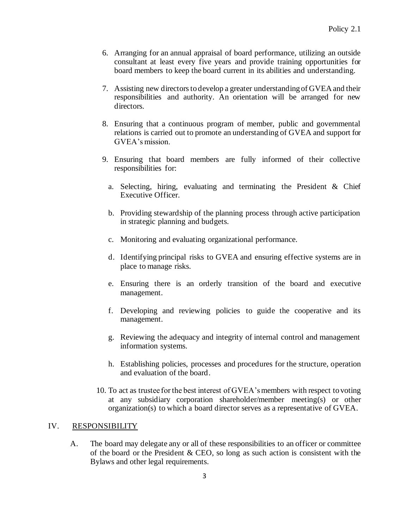- 6. Arranging for an annual appraisal of board performance, utilizing an outside consultant at least every five years and provide training opportunities for board members to keep the board current in its abilities and understanding.
- 7. Assisting new directors to develop a greater understanding of GVEA and their responsibilities and authority. An orientation will be arranged for new directors.
- 8. Ensuring that a continuous program of member, public and governmental relations is carried out to promote an understanding of GVEA and support for GVEA's mission.
- 9. Ensuring that board members are fully informed of their collective responsibilities for:
	- a. Selecting, hiring, evaluating and terminating the President & Chief Executive Officer.
	- b. Providing stewardship of the planning process through active participation in strategic planning and budgets.
	- c. Monitoring and evaluating organizational performance.
	- d. Identifying principal risks to GVEA and ensuring effective systems are in place to manage risks.
	- e. Ensuring there is an orderly transition of the board and executive management.
	- f. Developing and reviewing policies to guide the cooperative and its management.
	- g. Reviewing the adequacy and integrity of internal control and management information systems.
	- h. Establishing policies, processes and procedures for the structure, operation and evaluation of the board.
- 10. To act as trustee for the best interest of GVEA'smembers with respect to voting at any subsidiary corporation shareholder/member meeting(s) or other organization(s) to which a board director serves as a representative of GVEA.

# IV. RESPONSIBILITY

A. The board may delegate any or all of these responsibilities to an officer or committee of the board or the President & CEO, so long as such action is consistent with the Bylaws and other legal requirements.